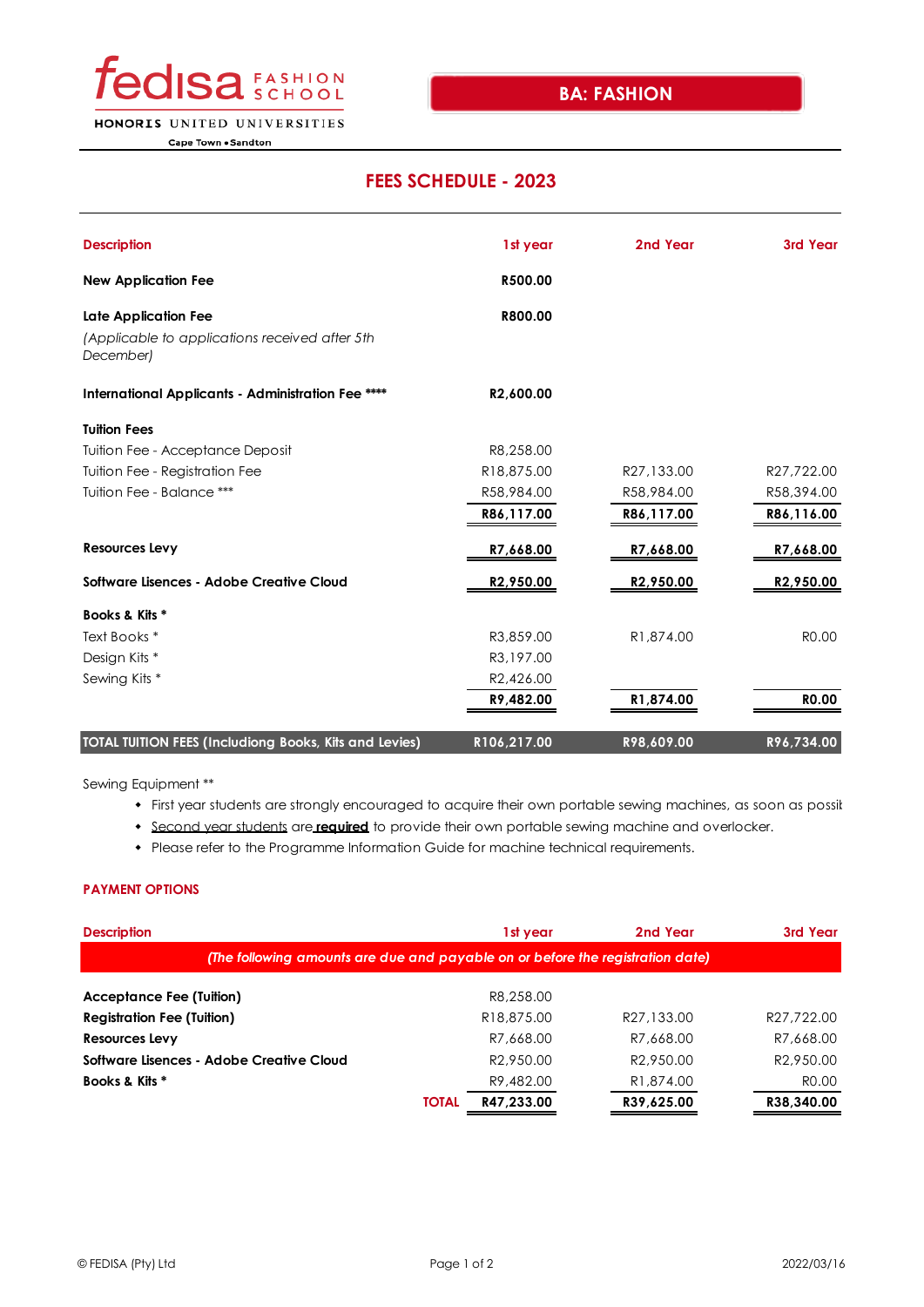

HONORIS UNITED UNIVERSITIES

Cape Town . Sandton

## **FEES SCHEDULE - 2023**

| <b>Description</b>                                          | 1st year               | 2nd Year               | 3rd Year               |
|-------------------------------------------------------------|------------------------|------------------------|------------------------|
| <b>New Application Fee</b>                                  | R500.00                |                        |                        |
| Late Application Fee                                        | R800.00                |                        |                        |
| (Applicable to applications received after 5th<br>December) |                        |                        |                        |
| International Applicants - Administration Fee ****          | R2,600.00              |                        |                        |
| <b>Tuition Fees</b>                                         |                        |                        |                        |
| Tuition Fee - Acceptance Deposit                            | R8,258.00              |                        |                        |
| Tuition Fee - Registration Fee                              | R18,875.00             | R27,133.00             | R27,722.00             |
| Tuition Fee - Balance ***                                   | R58,984.00             | R58,984.00             | R58,394.00             |
|                                                             | R86,117.00             | R86,117.00             | R86,116.00             |
| <b>Resources Levy</b>                                       | R7,668.00              | R7,668.00              | R7,668.00              |
| Software Lisences - Adobe Creative Cloud                    | R <sub>2,950.00</sub>  | R <sub>2</sub> ,950.00 | R <sub>2</sub> ,950.00 |
| Books & Kits *                                              |                        |                        |                        |
| Text Books *                                                | R3,859.00              | R <sub>1</sub> ,874.00 | R <sub>0.00</sub>      |
| Design Kits *                                               | R3,197.00              |                        |                        |
| Sewing Kits *                                               | R <sub>2</sub> ,426.00 |                        |                        |
|                                                             | R9,482.00              | R1,874.00              | <b>RO.00</b>           |
| TOTAL TUITION FEES (Includiong Books, Kits and Levies)      | R106,217.00            | R98,609.00             | R96,734.00             |

Sewing Equipment \*\*

- First year students are strongly encouraged to acquire their own portable sewing machines, as soon as possil
- **Second vear students are required** to provide their own portable sewing machine and overlocker.
- Please refer to the Programme Information Guide for machine technical requirements.

## **PAYMENT OPTIONS**

| <b>Description</b>                                                             | 1st year                | 2nd Year               | 3rd Year               |  |  |  |  |  |
|--------------------------------------------------------------------------------|-------------------------|------------------------|------------------------|--|--|--|--|--|
| (The following amounts are due and payable on or before the registration date) |                         |                        |                        |  |  |  |  |  |
| <b>Acceptance Fee (Tuition)</b>                                                | R8.258.00               |                        |                        |  |  |  |  |  |
| <b>Registration Fee (Tuition)</b>                                              | R <sub>18</sub> ,875,00 | R27,133.00             | R27.722.00             |  |  |  |  |  |
| Resources Levy                                                                 | R7.668.00               | R7.668.00              | R7,668.00              |  |  |  |  |  |
| Software Lisences - Adobe Creative Cloud                                       | R <sub>2</sub> .950.00  | R <sub>2.950.00</sub>  | R <sub>2</sub> .950.00 |  |  |  |  |  |
| Books & Kits *                                                                 | R9,482.00               | R <sub>1</sub> ,874,00 | R <sub>0.00</sub>      |  |  |  |  |  |
| <b>TOTAL</b>                                                                   | R47,233.00              | R39,625.00             | R38,340.00             |  |  |  |  |  |